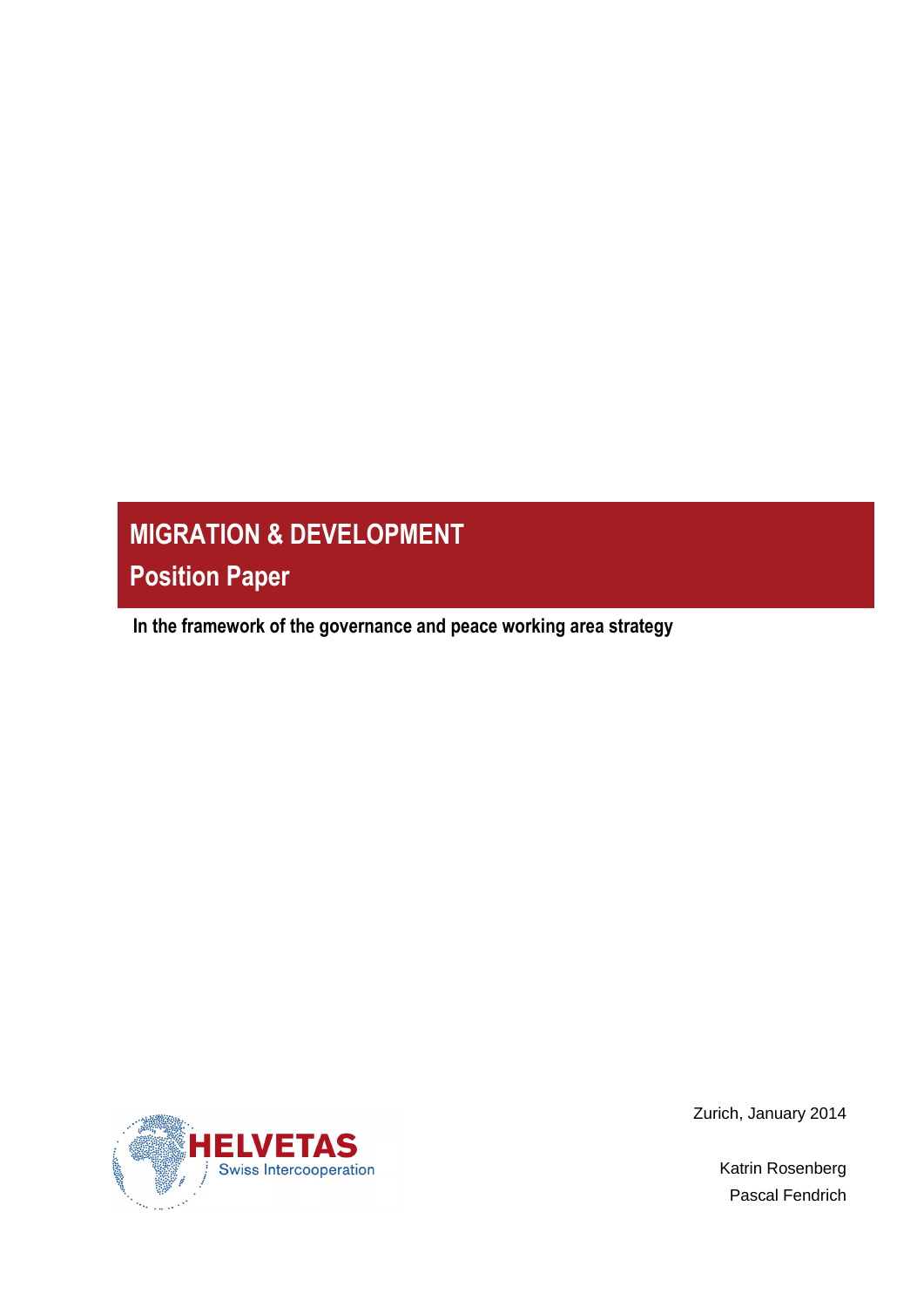# **MIGRATION & DEVELOPMENT Position Paper**

 **In the framework of the governance and peace working area strategy**



Zurich, January 2014

Katrin Rosenberg Pascal Fendrich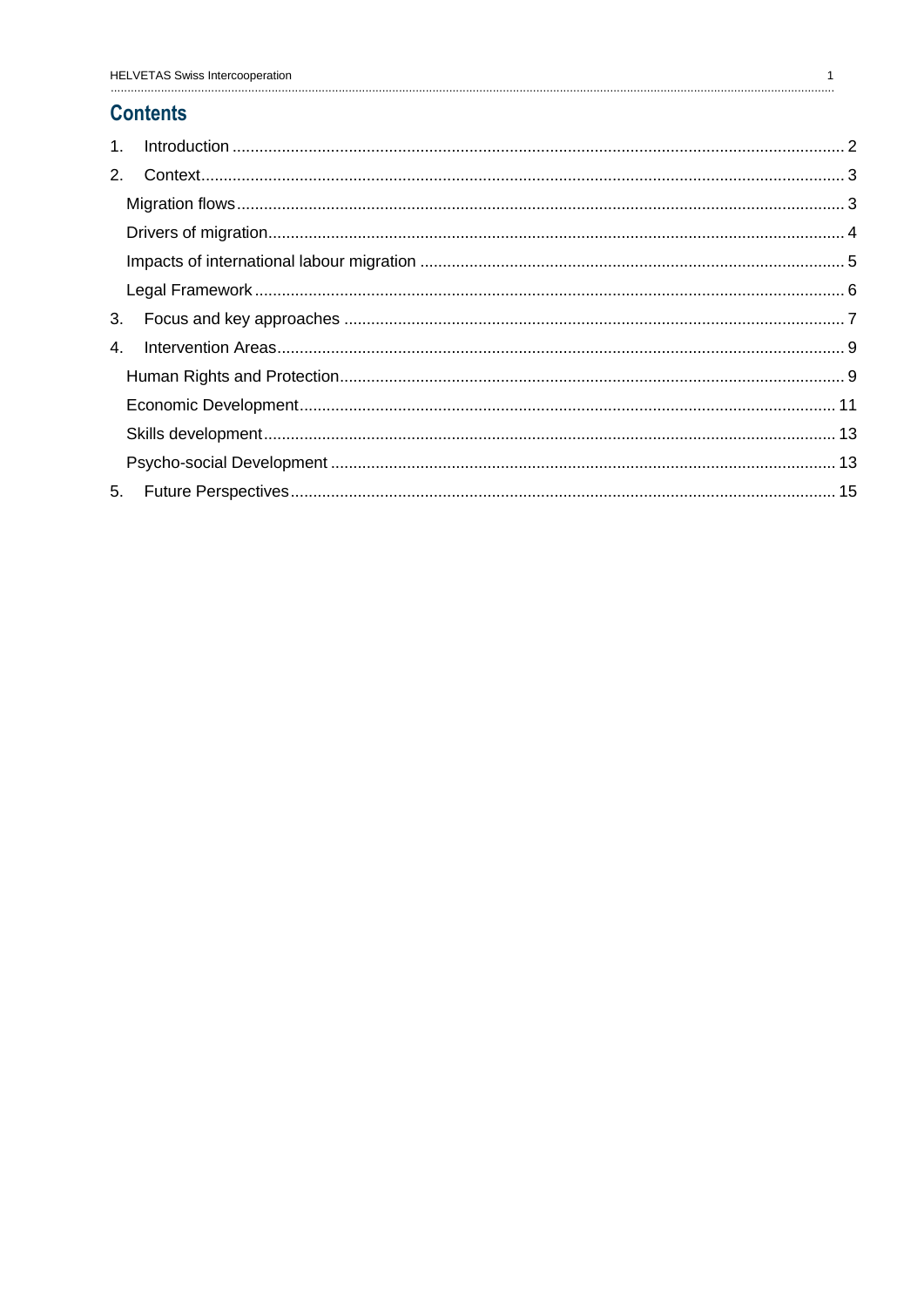# **Contents**

| 3.               |  |
|------------------|--|
| $\overline{4}$ . |  |
|                  |  |
|                  |  |
|                  |  |
|                  |  |
|                  |  |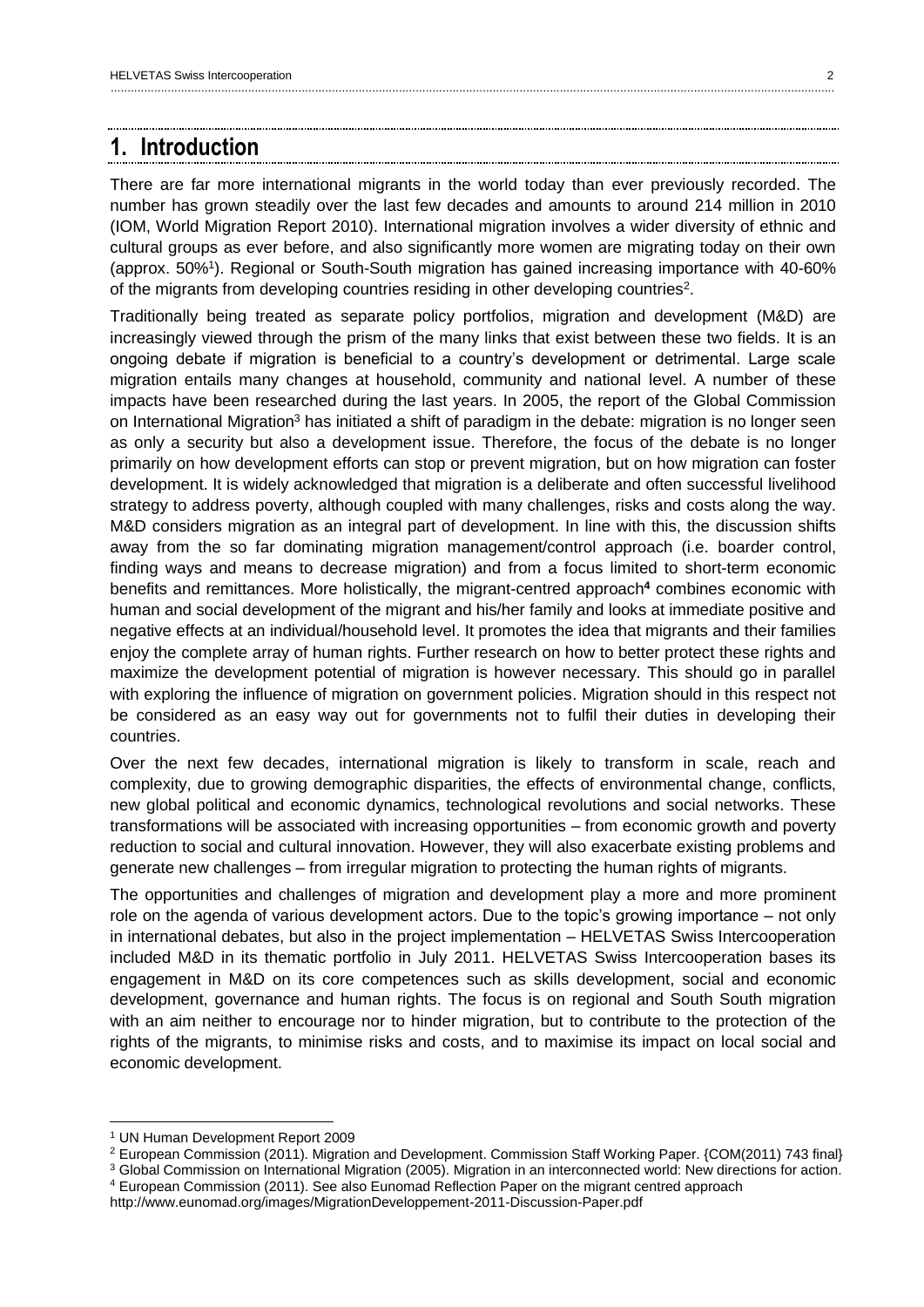# <span id="page-2-0"></span>**1. Introduction**

There are far more international migrants in the world today than ever previously recorded. The number has grown steadily over the last few decades and amounts to around 214 million in 2010 (IOM, World Migration Report 2010). International migration involves a wider diversity of ethnic and cultural groups as ever before, and also significantly more women are migrating today on their own (approx. 50%<sup>1</sup>). Regional or South-South migration has gained increasing importance with 40-60% of the migrants from developing countries residing in other developing countries<sup>2</sup>.

Traditionally being treated as separate policy portfolios, migration and development (M&D) are increasingly viewed through the prism of the many links that exist between these two fields. It is an ongoing debate if migration is beneficial to a country's development or detrimental. Large scale migration entails many changes at household, community and national level. A number of these impacts have been researched during the last years. In 2005, the report of the Global Commission on International Migration<sup>3</sup> has initiated a shift of paradigm in the debate: migration is no longer seen as only a security but also a development issue. Therefore, the focus of the debate is no longer primarily on how development efforts can stop or prevent migration, but on how migration can foster development. It is widely acknowledged that migration is a deliberate and often successful livelihood strategy to address poverty, although coupled with many challenges, risks and costs along the way. M&D considers migration as an integral part of development. In line with this, the discussion shifts away from the so far dominating migration management/control approach (i.e. boarder control, finding ways and means to decrease migration) and from a focus limited to short-term economic benefits and remittances. More holistically, the migrant-centred approach**<sup>4</sup>** combines economic with human and social development of the migrant and his/her family and looks at immediate positive and negative effects at an individual/household level. It promotes the idea that migrants and their families enjoy the complete array of human rights. Further research on how to better protect these rights and maximize the development potential of migration is however necessary. This should go in parallel with exploring the influence of migration on government policies. Migration should in this respect not be considered as an easy way out for governments not to fulfil their duties in developing their countries.

Over the next few decades, international migration is likely to transform in scale, reach and complexity, due to growing demographic disparities, the effects of environmental change, conflicts, new global political and economic dynamics, technological revolutions and social networks. These transformations will be associated with increasing opportunities – from economic growth and poverty reduction to social and cultural innovation. However, they will also exacerbate existing problems and generate new challenges – from irregular migration to protecting the human rights of migrants.

The opportunities and challenges of migration and development play a more and more prominent role on the agenda of various development actors. Due to the topic's growing importance – not only in international debates, but also in the project implementation – HELVETAS Swiss Intercooperation included M&D in its thematic portfolio in July 2011. HELVETAS Swiss Intercooperation bases its engagement in M&D on its core competences such as skills development, social and economic development, governance and human rights. The focus is on regional and South South migration with an aim neither to encourage nor to hinder migration, but to contribute to the protection of the rights of the migrants, to minimise risks and costs, and to maximise its impact on local social and economic development.

<sup>1</sup> UN Human Development Report 2009

<sup>2</sup> European Commission (2011). Migration and Development. Commission Staff Working Paper. {COM(2011) 743 final}

<sup>&</sup>lt;sup>3</sup> Global Commission on International Migration (2005). Migration in an interconnected world: New directions for action. <sup>4</sup> European Commission (2011). See also Eunomad Reflection Paper on the migrant centred approach

http://www.eunomad.org/images/MigrationDeveloppement-2011-Discussion-Paper.pdf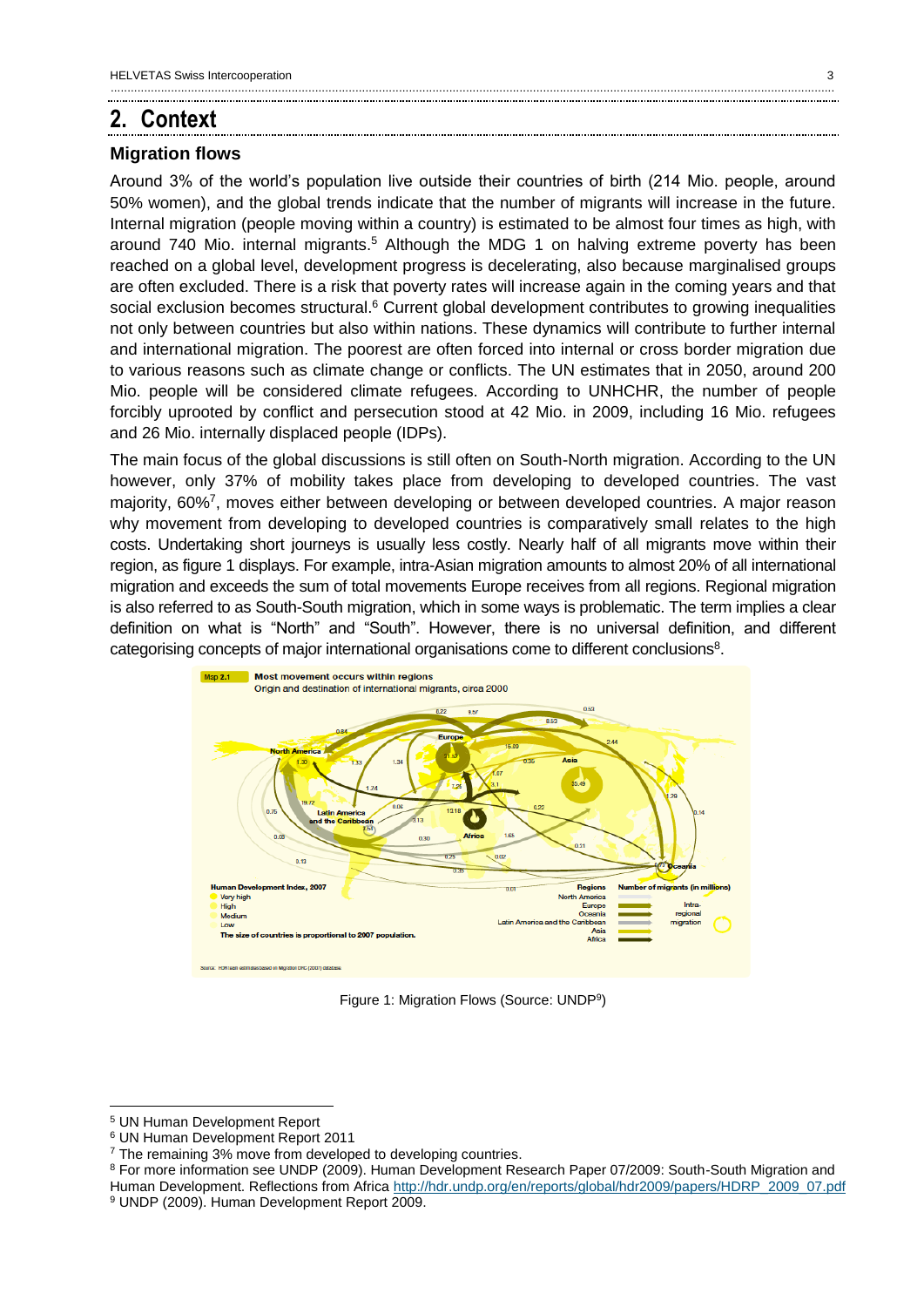# <span id="page-3-0"></span>**2. Context**

### <span id="page-3-1"></span>**Migration flows**

Around 3% of the world's population live outside their countries of birth (214 Mio. people, around 50% women), and the global trends indicate that the number of migrants will increase in the future. Internal migration (people moving within a country) is estimated to be almost four times as high, with around 740 Mio. internal migrants.<sup>5</sup> Although the MDG 1 on halving extreme poverty has been reached on a global level, development progress is decelerating, also because marginalised groups are often excluded. There is a risk that poverty rates will increase again in the coming years and that social exclusion becomes structural.<sup>6</sup> Current global development contributes to growing inequalities not only between countries but also within nations. These dynamics will contribute to further internal and international migration. The poorest are often forced into internal or cross border migration due to various reasons such as climate change or conflicts. The UN estimates that in 2050, around 200 Mio. people will be considered climate refugees. According to UNHCHR, the number of people forcibly uprooted by conflict and persecution stood at 42 Mio. in 2009, including 16 Mio. refugees and 26 Mio. internally displaced people (IDPs).

The main focus of the global discussions is still often on South-North migration. According to the UN however, only 37% of mobility takes place from developing to developed countries. The vast majority, 60%<sup>7</sup>, moves either between developing or between developed countries. A major reason why movement from developing to developed countries is comparatively small relates to the high costs. Undertaking short journeys is usually less costly. Nearly half of all migrants move within their region, as figure 1 displays. For example, intra-Asian migration amounts to almost 20% of all international migration and exceeds the sum of total movements Europe receives from all regions. Regional migration is also referred to as South-South migration, which in some ways is problematic. The term implies a clear definition on what is "North" and "South". However, there is no universal definition, and different categorising concepts of major international organisations come to different conclusions<sup>8</sup>.



Figure 1: Migration Flows (Source: UNDP<sup>9</sup>)

<sup>5</sup> UN Human Development Report

<sup>6</sup> UN Human Development Report 2011

 $7$  The remaining 3% move from developed to developing countries.

<sup>8</sup> For more information see UNDP (2009). Human Development Research Paper 07/2009: South-South Migration and Human Development. Reflections from Africa [http://hdr.undp.org/en/reports/global/hdr2009/papers/HDRP\\_2009\\_07.pdf](http://hdr.undp.org/en/reports/global/hdr2009/papers/HDRP_2009_07.pdf) <sup>9</sup> UNDP (2009). Human Development Report 2009.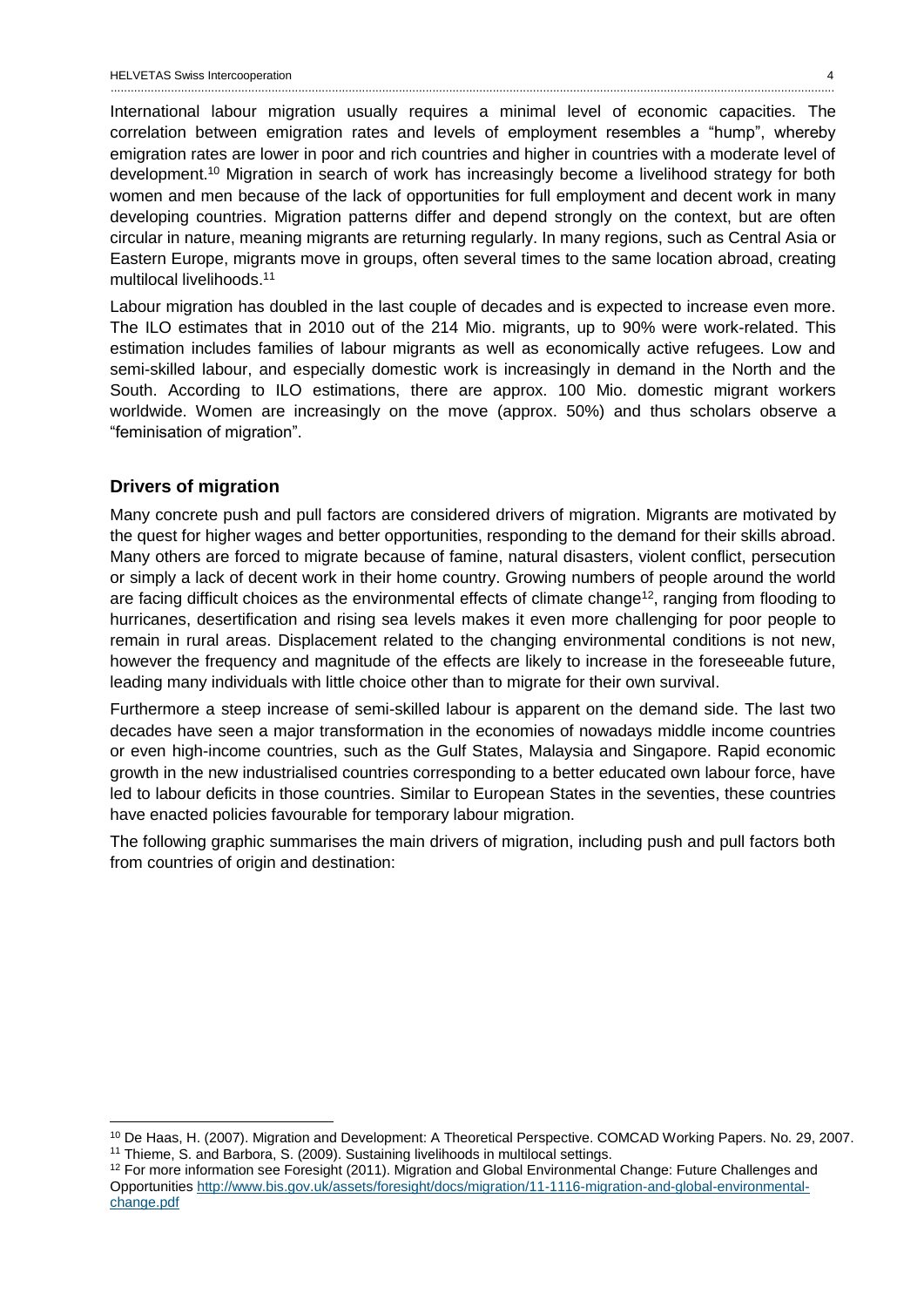International labour migration usually requires a minimal level of economic capacities. The correlation between emigration rates and levels of employment resembles a "hump", whereby emigration rates are lower in poor and rich countries and higher in countries with a moderate level of development.<sup>10</sup> Migration in search of work has increasingly become a livelihood strategy for both women and men because of the lack of opportunities for full employment and decent work in many developing countries. Migration patterns differ and depend strongly on the context, but are often circular in nature, meaning migrants are returning regularly. In many regions, such as Central Asia or Eastern Europe, migrants move in groups, often several times to the same location abroad, creating multilocal livelihoods.<sup>11</sup>

Labour migration has doubled in the last couple of decades and is expected to increase even more. The ILO estimates that in 2010 out of the 214 Mio. migrants, up to 90% were work-related. This estimation includes families of labour migrants as well as economically active refugees. Low and semi-skilled labour, and especially domestic work is increasingly in demand in the North and the South. According to ILO estimations, there are approx. 100 Mio. domestic migrant workers worldwide. Women are increasingly on the move (approx. 50%) and thus scholars observe a "feminisation of migration".

### <span id="page-4-0"></span>**Drivers of migration**

 $\overline{a}$ 

Many concrete push and pull factors are considered drivers of migration. Migrants are motivated by the quest for higher wages and better opportunities, responding to the demand for their skills abroad. Many others are forced to migrate because of famine, natural disasters, violent conflict, persecution or simply a lack of decent work in their home country. Growing numbers of people around the world are facing difficult choices as the environmental effects of climate change<sup>12</sup>, ranging from flooding to hurricanes, desertification and rising sea levels makes it even more challenging for poor people to remain in rural areas. Displacement related to the changing environmental conditions is not new, however the frequency and magnitude of the effects are likely to increase in the foreseeable future, leading many individuals with little choice other than to migrate for their own survival.

Furthermore a steep increase of semi-skilled labour is apparent on the demand side. The last two decades have seen a major transformation in the economies of nowadays middle income countries or even high-income countries, such as the Gulf States, Malaysia and Singapore. Rapid economic growth in the new industrialised countries corresponding to a better educated own labour force, have led to labour deficits in those countries. Similar to European States in the seventies, these countries have enacted policies favourable for temporary labour migration.

The following graphic summarises the main drivers of migration, including push and pull factors both from countries of origin and destination:

<sup>10</sup> De Haas, H. (2007). Migration and Development: A Theoretical Perspective. COMCAD Working Papers. No. 29, 2007. <sup>11</sup> Thieme, S. and Barbora, S. (2009). Sustaining livelihoods in multilocal settings.

<sup>12</sup> For more information see Foresight (2011). Migration and Global Environmental Change: Future Challenges and Opportunities [http://www.bis.gov.uk/assets/foresight/docs/migration/11-1116-migration-and-global-environmental](http://www.bis.gov.uk/assets/foresight/docs/migration/11-1116-migration-and-global-environmental-change.pdf)[change.pdf](http://www.bis.gov.uk/assets/foresight/docs/migration/11-1116-migration-and-global-environmental-change.pdf)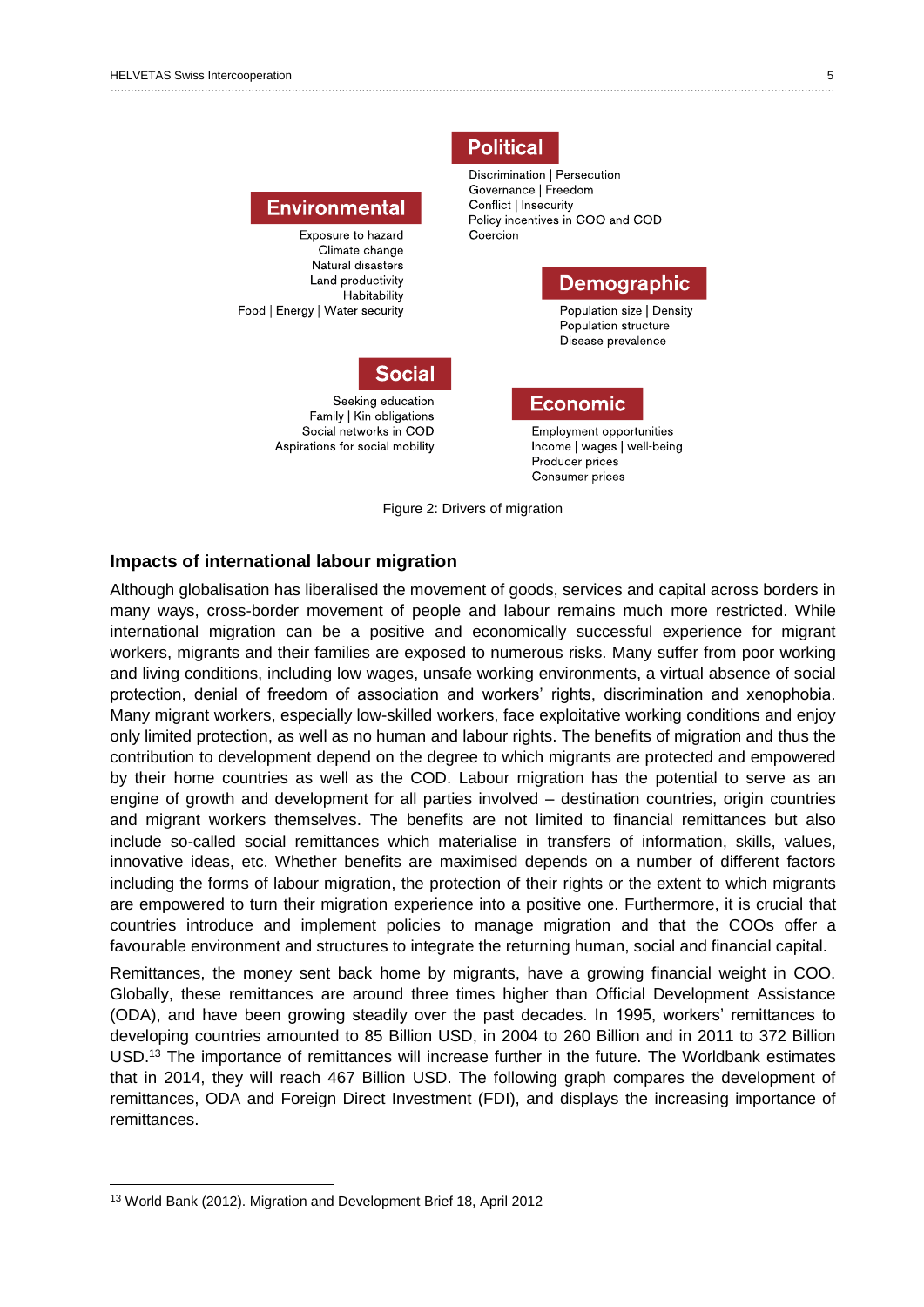

**Political** 

#### <span id="page-5-0"></span>**Impacts of international labour migration**

Although globalisation has liberalised the movement of goods, services and capital across borders in many ways, cross-border movement of people and labour remains much more restricted. While international migration can be a positive and economically successful experience for migrant workers, migrants and their families are exposed to numerous risks. Many suffer from poor working and living conditions, including low wages, unsafe working environments, a virtual absence of social protection, denial of freedom of association and workers' rights, discrimination and xenophobia. Many migrant workers, especially low-skilled workers, face exploitative working conditions and enjoy only limited protection, as well as no human and labour rights. The benefits of migration and thus the contribution to development depend on the degree to which migrants are protected and empowered by their home countries as well as the COD. Labour migration has the potential to serve as an engine of growth and development for all parties involved – destination countries, origin countries and migrant workers themselves. The benefits are not limited to financial remittances but also include so-called social remittances which materialise in transfers of information, skills, values, innovative ideas, etc. Whether benefits are maximised depends on a number of different factors including the forms of labour migration, the protection of their rights or the extent to which migrants are empowered to turn their migration experience into a positive one. Furthermore, it is crucial that countries introduce and implement policies to manage migration and that the COOs offer a favourable environment and structures to integrate the returning human, social and financial capital.

Remittances, the money sent back home by migrants, have a growing financial weight in COO. Globally, these remittances are around three times higher than Official Development Assistance (ODA), and have been growing steadily over the past decades. In 1995, workers' remittances to developing countries amounted to 85 Billion USD, in 2004 to 260 Billion and in 2011 to 372 Billion USD.<sup>13</sup> The importance of remittances will increase further in the future. The Worldbank estimates that in 2014, they will reach 467 Billion USD. The following graph compares the development of remittances, ODA and Foreign Direct Investment (FDI), and displays the increasing importance of remittances.

<sup>13</sup> World Bank (2012). Migration and Development Brief 18, April 2012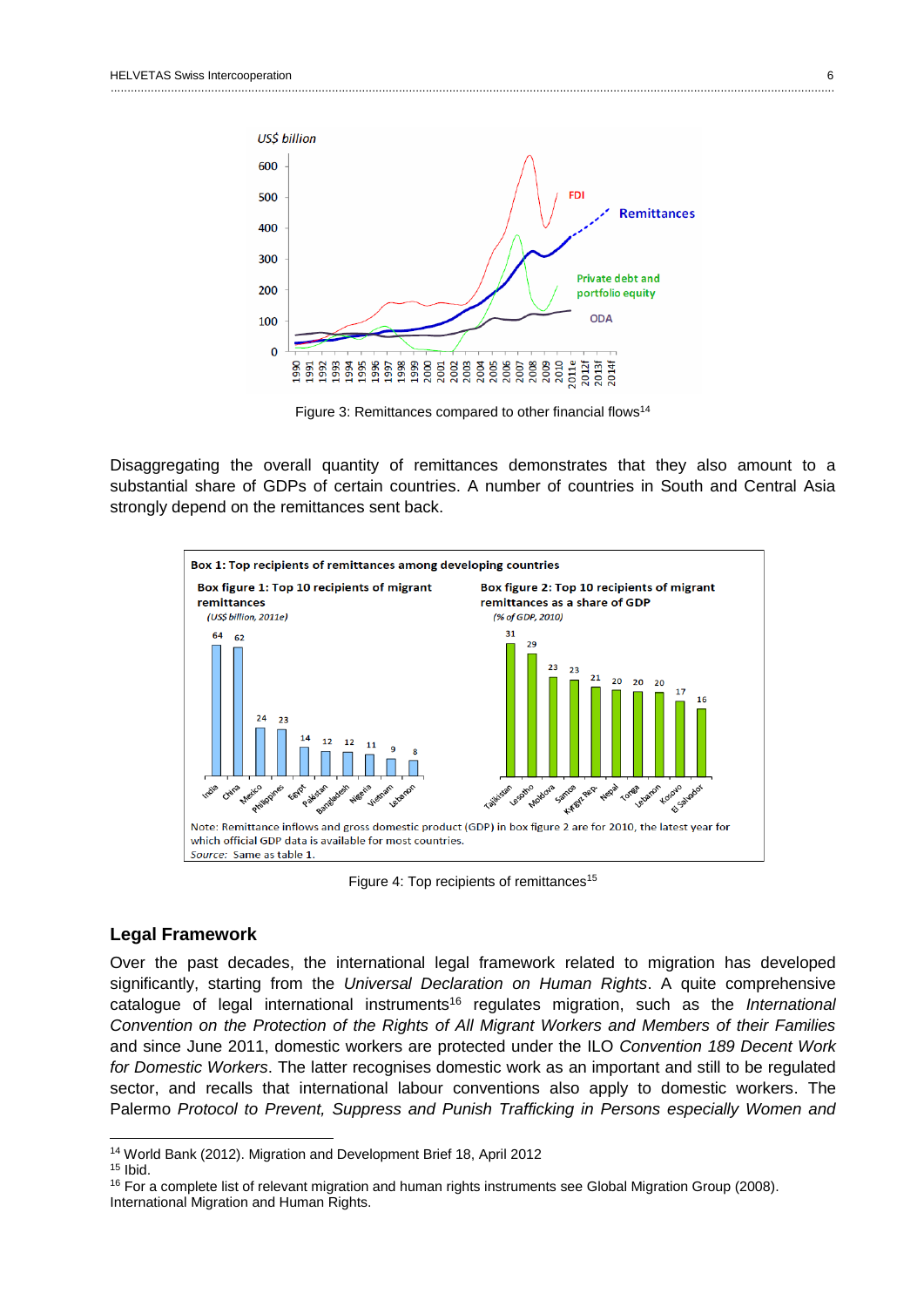

Figure 3: Remittances compared to other financial flows<sup>14</sup>

Disaggregating the overall quantity of remittances demonstrates that they also amount to a substantial share of GDPs of certain countries. A number of countries in South and Central Asia strongly depend on the remittances sent back.



Figure 4: Top recipients of remittances<sup>15</sup>

#### <span id="page-6-0"></span>**Legal Framework**

Over the past decades, the international legal framework related to migration has developed significantly, starting from the *Universal Declaration on Human Rights*. A quite comprehensive catalogue of legal international instruments<sup>16</sup> regulates migration, such as the *International Convention on the Protection of the Rights of All Migrant Workers and Members of their Families*  and since June 2011, domestic workers are protected under the ILO *Convention 189 Decent Work for Domestic Workers*. The latter recognises domestic work as an important and still to be regulated sector, and recalls that international labour conventions also apply to domestic workers. The Palermo *Protocol to Prevent, Suppress and Punish Trafficking in Persons especially Women and* 

<sup>14</sup> World Bank (2012). Migration and Development Brief 18, April 2012

<sup>15</sup> Ibid.

<sup>&</sup>lt;sup>16</sup> For a complete list of relevant migration and human rights instruments see Global Migration Group (2008). International Migration and Human Rights.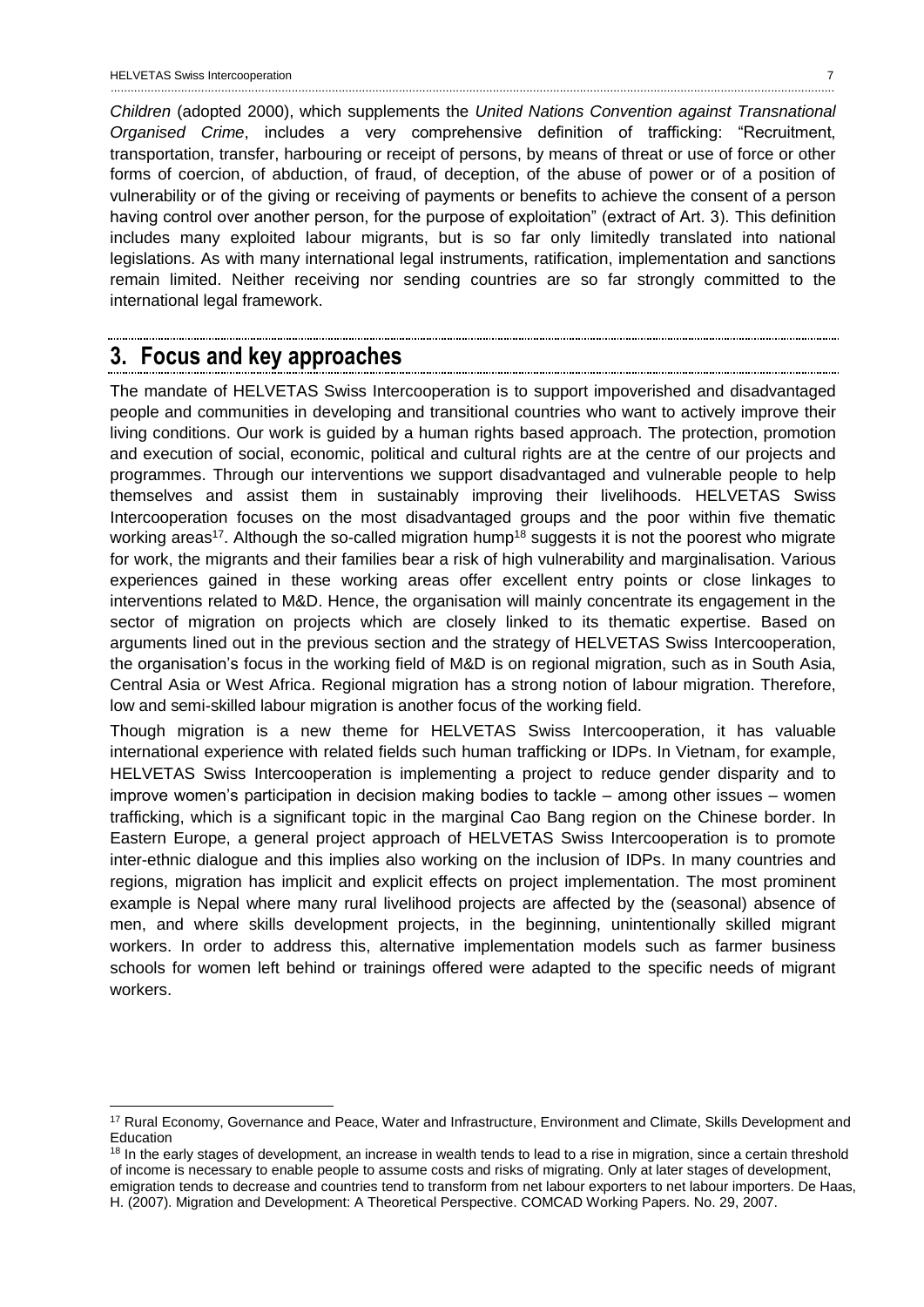*Children* (adopted 2000), which supplements the *United Nations Convention against Transnational Organised Crime*, includes a very comprehensive definition of trafficking: "Recruitment, transportation, transfer, harbouring or receipt of persons, by means of threat or use of force or other forms of coercion, of abduction, of fraud, of deception, of the abuse of power or of a position of vulnerability or of the giving or receiving of payments or benefits to achieve the consent of a person having control over another person, for the purpose of exploitation" (extract of Art. 3). This definition includes many exploited labour migrants, but is so far only limitedly translated into national legislations. As with many international legal instruments, ratification, implementation and sanctions remain limited. Neither receiving nor sending countries are so far strongly committed to the international legal framework.

# <span id="page-7-0"></span>**3. Focus and key approaches**

 $\overline{a}$ 

The mandate of HELVETAS Swiss Intercooperation is to support impoverished and disadvantaged people and communities in developing and transitional countries who want to actively improve their living conditions. Our work is guided by a human rights based approach. The protection, promotion and execution of social, economic, political and cultural rights are at the centre of our projects and programmes. Through our interventions we support disadvantaged and vulnerable people to help themselves and assist them in sustainably improving their livelihoods. HELVETAS Swiss Intercooperation focuses on the most disadvantaged groups and the poor within five thematic working areas<sup>17</sup>. Although the so-called migration hump<sup>18</sup> suggests it is not the poorest who migrate for work, the migrants and their families bear a risk of high vulnerability and marginalisation. Various experiences gained in these working areas offer excellent entry points or close linkages to interventions related to M&D. Hence, the organisation will mainly concentrate its engagement in the sector of migration on projects which are closely linked to its thematic expertise. Based on arguments lined out in the previous section and the strategy of HELVETAS Swiss Intercooperation, the organisation's focus in the working field of M&D is on regional migration, such as in South Asia, Central Asia or West Africa. Regional migration has a strong notion of labour migration. Therefore, low and semi-skilled labour migration is another focus of the working field.

Though migration is a new theme for HELVETAS Swiss Intercooperation, it has valuable international experience with related fields such human trafficking or IDPs. In Vietnam, for example, HELVETAS Swiss Intercooperation is implementing a project to reduce gender disparity and to improve women's participation in decision making bodies to tackle – among other issues – women trafficking, which is a significant topic in the marginal Cao Bang region on the Chinese border. In Eastern Europe, a general project approach of HELVETAS Swiss Intercooperation is to promote inter-ethnic dialogue and this implies also working on the inclusion of IDPs. In many countries and regions, migration has implicit and explicit effects on project implementation. The most prominent example is Nepal where many rural livelihood projects are affected by the (seasonal) absence of men, and where skills development projects, in the beginning, unintentionally skilled migrant workers. In order to address this, alternative implementation models such as farmer business schools for women left behind or trainings offered were adapted to the specific needs of migrant workers.

<sup>&</sup>lt;sup>17</sup> Rural Economy, Governance and Peace, Water and Infrastructure, Environment and Climate, Skills Development and Education

<sup>&</sup>lt;sup>18</sup> In the early stages of development, an increase in wealth tends to lead to a rise in migration, since a certain threshold of income is necessary to enable people to assume costs and risks of migrating. Only at later stages of development, emigration tends to decrease and countries tend to transform from net labour exporters to net labour importers. De Haas, H. (2007). Migration and Development: A Theoretical Perspective. COMCAD Working Papers. No. 29, 2007.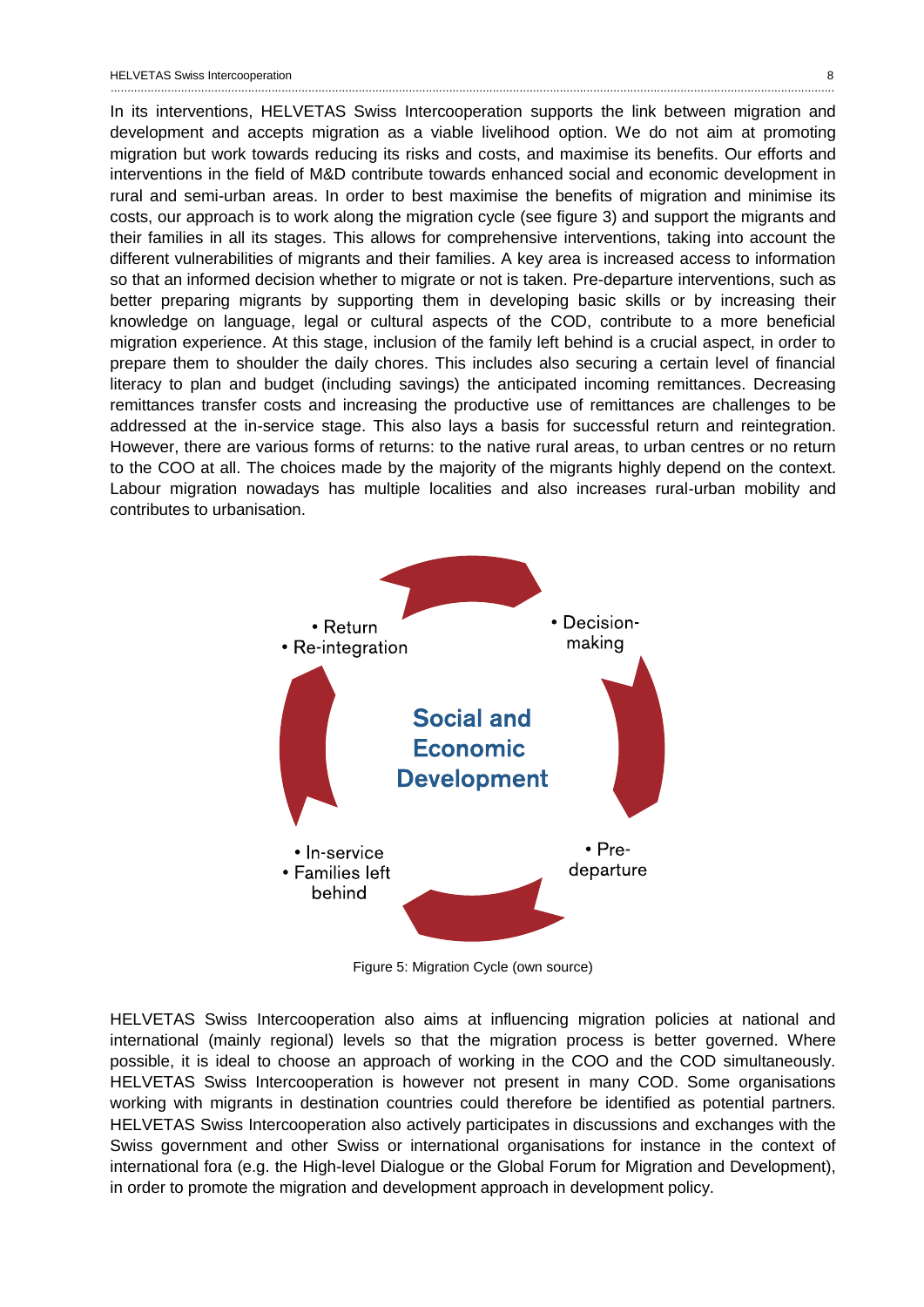In its interventions, HELVETAS Swiss Intercooperation supports the link between migration and development and accepts migration as a viable livelihood option. We do not aim at promoting migration but work towards reducing its risks and costs, and maximise its benefits. Our efforts and interventions in the field of M&D contribute towards enhanced social and economic development in rural and semi-urban areas. In order to best maximise the benefits of migration and minimise its costs, our approach is to work along the migration cycle (see figure 3) and support the migrants and their families in all its stages. This allows for comprehensive interventions, taking into account the different vulnerabilities of migrants and their families. A key area is increased access to information so that an informed decision whether to migrate or not is taken. Pre-departure interventions, such as better preparing migrants by supporting them in developing basic skills or by increasing their knowledge on language, legal or cultural aspects of the COD, contribute to a more beneficial migration experience. At this stage, inclusion of the family left behind is a crucial aspect, in order to prepare them to shoulder the daily chores. This includes also securing a certain level of financial literacy to plan and budget (including savings) the anticipated incoming remittances. Decreasing remittances transfer costs and increasing the productive use of remittances are challenges to be addressed at the in-service stage. This also lays a basis for successful return and reintegration. However, there are various forms of returns: to the native rural areas, to urban centres or no return to the COO at all. The choices made by the majority of the migrants highly depend on the context. Labour migration nowadays has multiple localities and also increases rural-urban mobility and contributes to urbanisation.



Figure 5: Migration Cycle (own source)

HELVETAS Swiss Intercooperation also aims at influencing migration policies at national and international (mainly regional) levels so that the migration process is better governed. Where possible, it is ideal to choose an approach of working in the COO and the COD simultaneously. HELVETAS Swiss Intercooperation is however not present in many COD. Some organisations working with migrants in destination countries could therefore be identified as potential partners. HELVETAS Swiss Intercooperation also actively participates in discussions and exchanges with the Swiss government and other Swiss or international organisations for instance in the context of international fora (e.g. the High-level Dialogue or the Global Forum for Migration and Development), in order to promote the migration and development approach in development policy.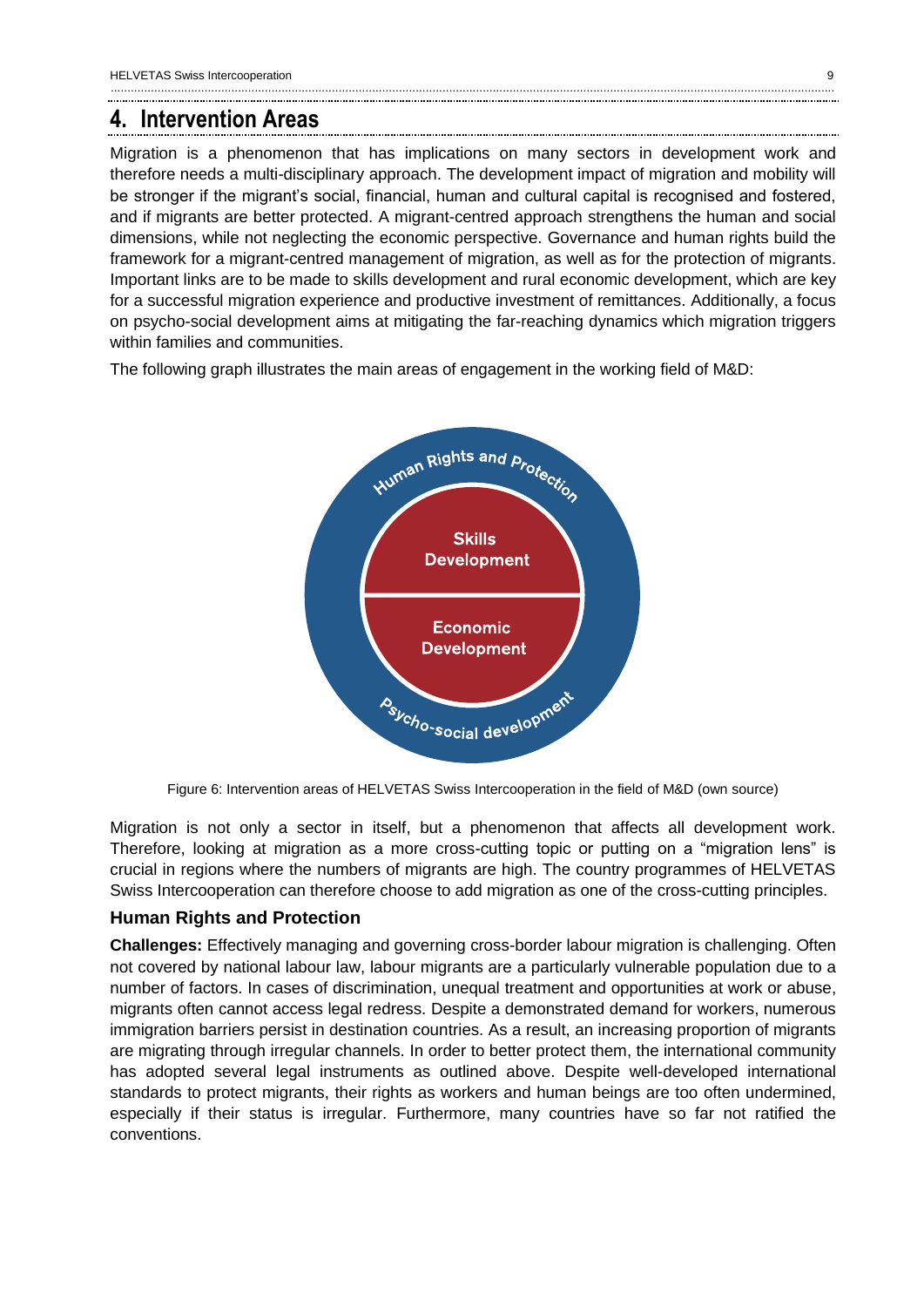# <span id="page-9-0"></span>**4. Intervention Areas**

Migration is a phenomenon that has implications on many sectors in development work and therefore needs a multi-disciplinary approach. The development impact of migration and mobility will be stronger if the migrant's social, financial, human and cultural capital is recognised and fostered, and if migrants are better protected. A migrant-centred approach strengthens the human and social dimensions, while not neglecting the economic perspective. Governance and human rights build the framework for a migrant-centred management of migration, as well as for the protection of migrants. Important links are to be made to skills development and rural economic development, which are key for a successful migration experience and productive investment of remittances. Additionally, a focus on psycho-social development aims at mitigating the far-reaching dynamics which migration triggers within families and communities.

The following graph illustrates the main areas of engagement in the working field of M&D:



Figure 6: Intervention areas of HELVETAS Swiss Intercooperation in the field of M&D (own source)

Migration is not only a sector in itself, but a phenomenon that affects all development work. Therefore, looking at migration as a more cross-cutting topic or putting on a "migration lens" is crucial in regions where the numbers of migrants are high. The country programmes of HELVETAS Swiss Intercooperation can therefore choose to add migration as one of the cross-cutting principles.

### <span id="page-9-1"></span>**Human Rights and Protection**

**Challenges:** Effectively managing and governing cross-border labour migration is challenging. Often not covered by national labour law, labour migrants are a particularly vulnerable population due to a number of factors. In cases of discrimination, unequal treatment and opportunities at work or abuse, migrants often cannot access legal redress. Despite a demonstrated demand for workers, numerous immigration barriers persist in destination countries. As a result, an increasing proportion of migrants are migrating through irregular channels. In order to better protect them, the international community has adopted several legal instruments as outlined above. Despite well-developed international standards to protect migrants, their rights as workers and human beings are too often undermined, especially if their status is irregular. Furthermore, many countries have so far not ratified the conventions.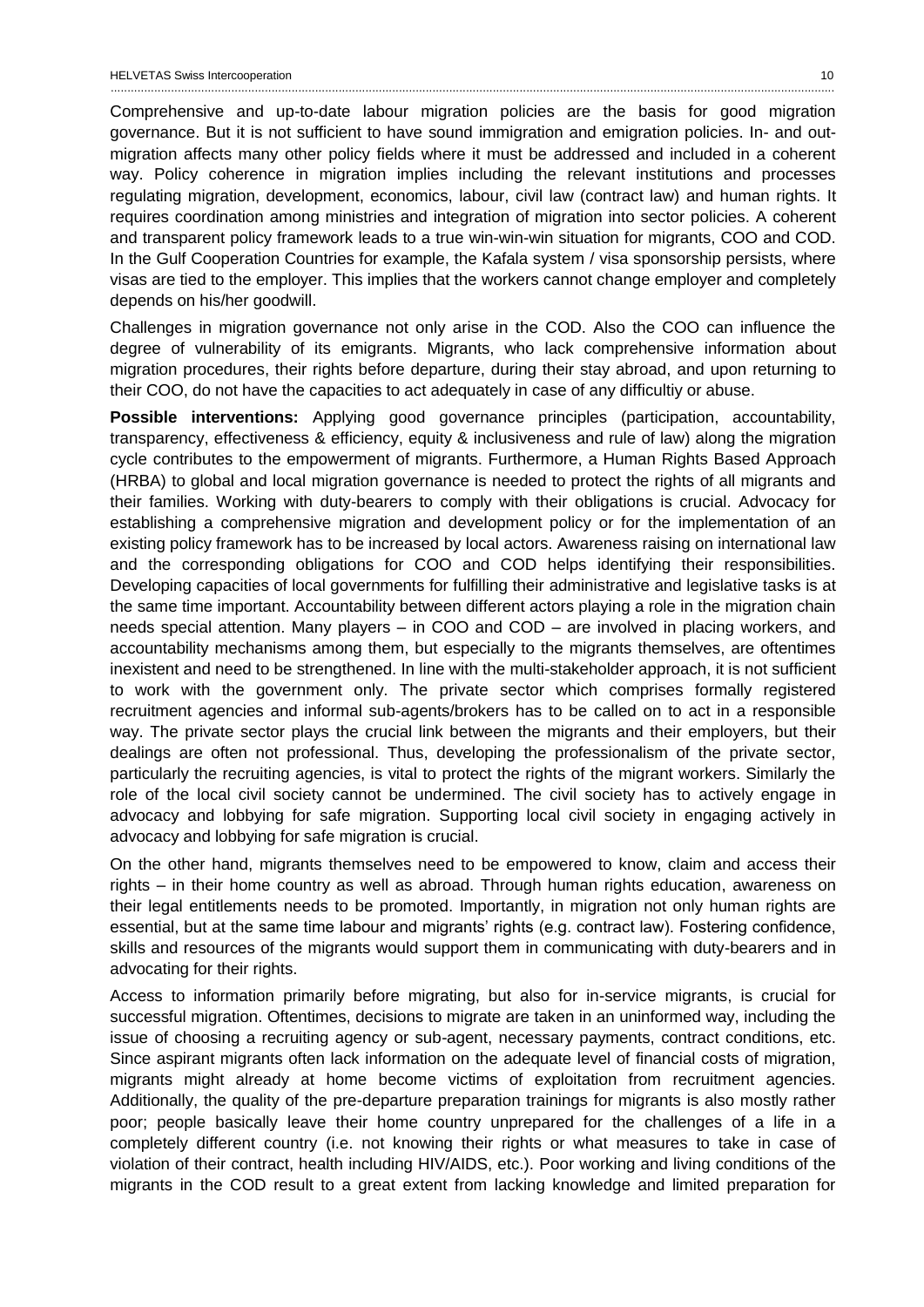Comprehensive and up-to-date labour migration policies are the basis for good migration governance. But it is not sufficient to have sound immigration and emigration policies. In- and outmigration affects many other policy fields where it must be addressed and included in a coherent way. Policy coherence in migration implies including the relevant institutions and processes regulating migration, development, economics, labour, civil law (contract law) and human rights. It requires coordination among ministries and integration of migration into sector policies. A coherent and transparent policy framework leads to a true win-win-win situation for migrants, COO and COD. In the Gulf Cooperation Countries for example, the Kafala system / visa sponsorship persists, where visas are tied to the employer. This implies that the workers cannot change employer and completely depends on his/her goodwill.

Challenges in migration governance not only arise in the COD. Also the COO can influence the degree of vulnerability of its emigrants. Migrants, who lack comprehensive information about migration procedures, their rights before departure, during their stay abroad, and upon returning to their COO, do not have the capacities to act adequately in case of any difficultiy or abuse.

**Possible interventions:** Applying good governance principles (participation, accountability, transparency, effectiveness & efficiency, equity & inclusiveness and rule of law) along the migration cycle contributes to the empowerment of migrants. Furthermore, a Human Rights Based Approach (HRBA) to global and local migration governance is needed to protect the rights of all migrants and their families. Working with duty-bearers to comply with their obligations is crucial. Advocacy for establishing a comprehensive migration and development policy or for the implementation of an existing policy framework has to be increased by local actors. Awareness raising on international law and the corresponding obligations for COO and COD helps identifying their responsibilities. Developing capacities of local governments for fulfilling their administrative and legislative tasks is at the same time important. Accountability between different actors playing a role in the migration chain needs special attention. Many players – in COO and COD – are involved in placing workers, and accountability mechanisms among them, but especially to the migrants themselves, are oftentimes inexistent and need to be strengthened. In line with the multi-stakeholder approach, it is not sufficient to work with the government only. The private sector which comprises formally registered recruitment agencies and informal sub-agents/brokers has to be called on to act in a responsible way. The private sector plays the crucial link between the migrants and their employers, but their dealings are often not professional. Thus, developing the professionalism of the private sector, particularly the recruiting agencies, is vital to protect the rights of the migrant workers. Similarly the role of the local civil society cannot be undermined. The civil society has to actively engage in advocacy and lobbying for safe migration. Supporting local civil society in engaging actively in advocacy and lobbying for safe migration is crucial.

On the other hand, migrants themselves need to be empowered to know, claim and access their rights – in their home country as well as abroad. Through human rights education, awareness on their legal entitlements needs to be promoted. Importantly, in migration not only human rights are essential, but at the same time labour and migrants' rights (e.g. contract law). Fostering confidence, skills and resources of the migrants would support them in communicating with duty-bearers and in advocating for their rights.

Access to information primarily before migrating, but also for in-service migrants, is crucial for successful migration. Oftentimes, decisions to migrate are taken in an uninformed way, including the issue of choosing a recruiting agency or sub-agent, necessary payments, contract conditions, etc. Since aspirant migrants often lack information on the adequate level of financial costs of migration, migrants might already at home become victims of exploitation from recruitment agencies. Additionally, the quality of the pre-departure preparation trainings for migrants is also mostly rather poor; people basically leave their home country unprepared for the challenges of a life in a completely different country (i.e. not knowing their rights or what measures to take in case of violation of their contract, health including HIV/AIDS, etc.). Poor working and living conditions of the migrants in the COD result to a great extent from lacking knowledge and limited preparation for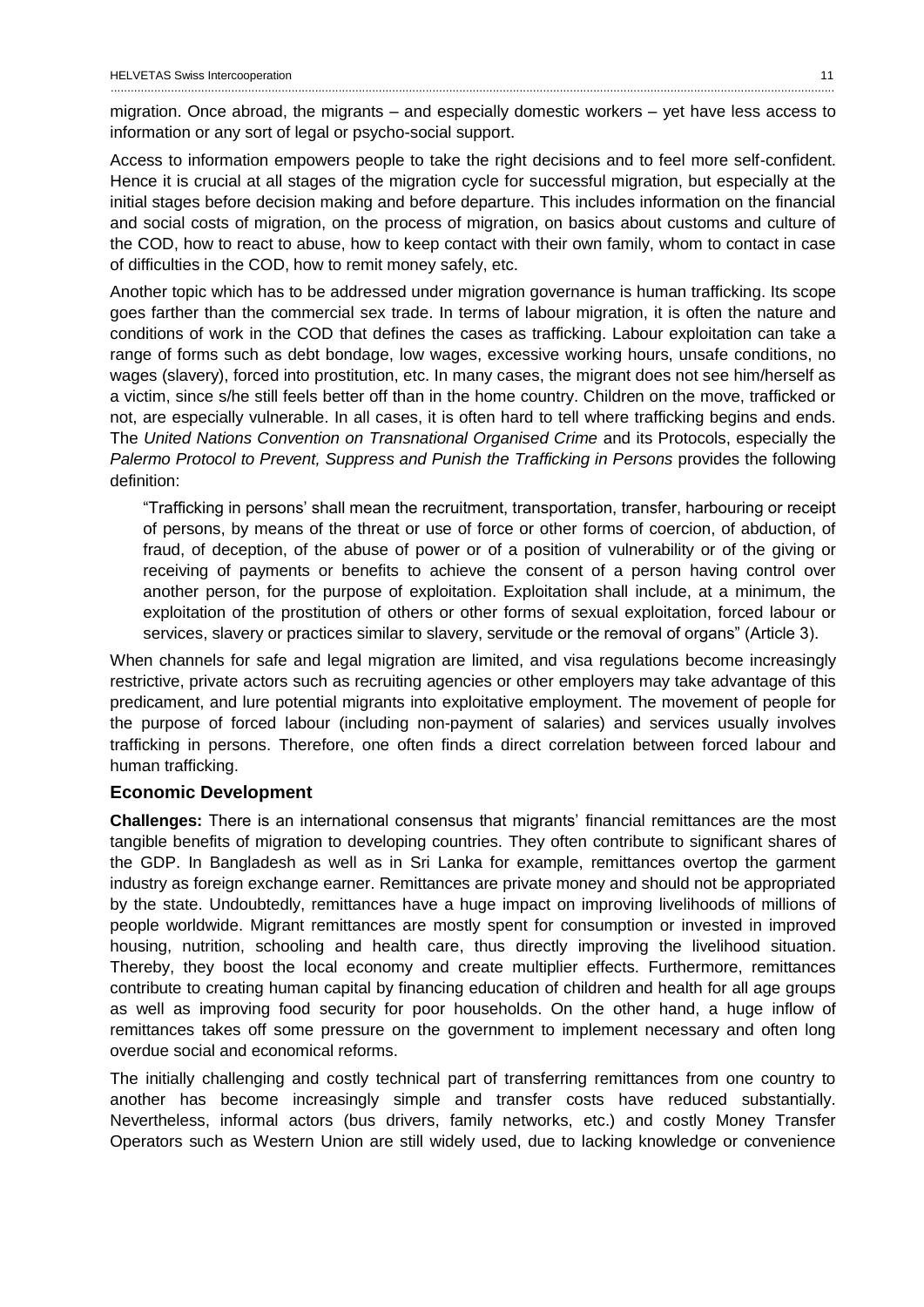migration. Once abroad, the migrants – and especially domestic workers – yet have less access to information or any sort of legal or psycho-social support.

........................................................................................................................................................................................................................

Access to information empowers people to take the right decisions and to feel more self-confident. Hence it is crucial at all stages of the migration cycle for successful migration, but especially at the initial stages before decision making and before departure. This includes information on the financial and social costs of migration, on the process of migration, on basics about customs and culture of the COD, how to react to abuse, how to keep contact with their own family, whom to contact in case of difficulties in the COD, how to remit money safely, etc.

Another topic which has to be addressed under migration governance is human trafficking. Its scope goes farther than the commercial sex trade. In terms of labour migration, it is often the nature and conditions of work in the COD that defines the cases as trafficking. Labour exploitation can take a range of forms such as debt bondage, low wages, excessive working hours, unsafe conditions, no wages (slavery), forced into prostitution, etc. In many cases, the migrant does not see him/herself as a victim, since s/he still feels better off than in the home country. Children on the move, trafficked or not, are especially vulnerable. In all cases, it is often hard to tell where trafficking begins and ends. The *United Nations Convention on Transnational Organised Crime* and its Protocols, especially the *Palermo Protocol to Prevent, Suppress and Punish the Trafficking in Persons* provides the following definition:

"Trafficking in persons' shall mean the recruitment, transportation, transfer, harbouring or receipt of persons, by means of the threat or use of force or other forms of coercion, of abduction, of fraud, of deception, of the abuse of power or of a position of vulnerability or of the giving or receiving of payments or benefits to achieve the consent of a person having control over another person, for the purpose of exploitation. Exploitation shall include, at a minimum, the exploitation of the prostitution of others or other forms of sexual exploitation, forced labour or services, slavery or practices similar to slavery, servitude or the removal of organs" (Article 3).

When channels for safe and legal migration are limited, and visa regulations become increasingly restrictive, private actors such as recruiting agencies or other employers may take advantage of this predicament, and lure potential migrants into exploitative employment. The movement of people for the purpose of forced labour (including non-payment of salaries) and services usually involves trafficking in persons. Therefore, one often finds a direct correlation between forced labour and human trafficking.

#### <span id="page-11-0"></span>**Economic Development**

**Challenges:** There is an international consensus that migrants' financial remittances are the most tangible benefits of migration to developing countries. They often contribute to significant shares of the GDP. In Bangladesh as well as in Sri Lanka for example, remittances overtop the garment industry as foreign exchange earner. Remittances are private money and should not be appropriated by the state. Undoubtedly, remittances have a huge impact on improving livelihoods of millions of people worldwide. Migrant remittances are mostly spent for consumption or invested in improved housing, nutrition, schooling and health care, thus directly improving the livelihood situation. Thereby, they boost the local economy and create multiplier effects. Furthermore, remittances contribute to creating human capital by financing education of children and health for all age groups as well as improving food security for poor households. On the other hand, a huge inflow of remittances takes off some pressure on the government to implement necessary and often long overdue social and economical reforms.

The initially challenging and costly technical part of transferring remittances from one country to another has become increasingly simple and transfer costs have reduced substantially. Nevertheless, informal actors (bus drivers, family networks, etc.) and costly Money Transfer Operators such as Western Union are still widely used, due to lacking knowledge or convenience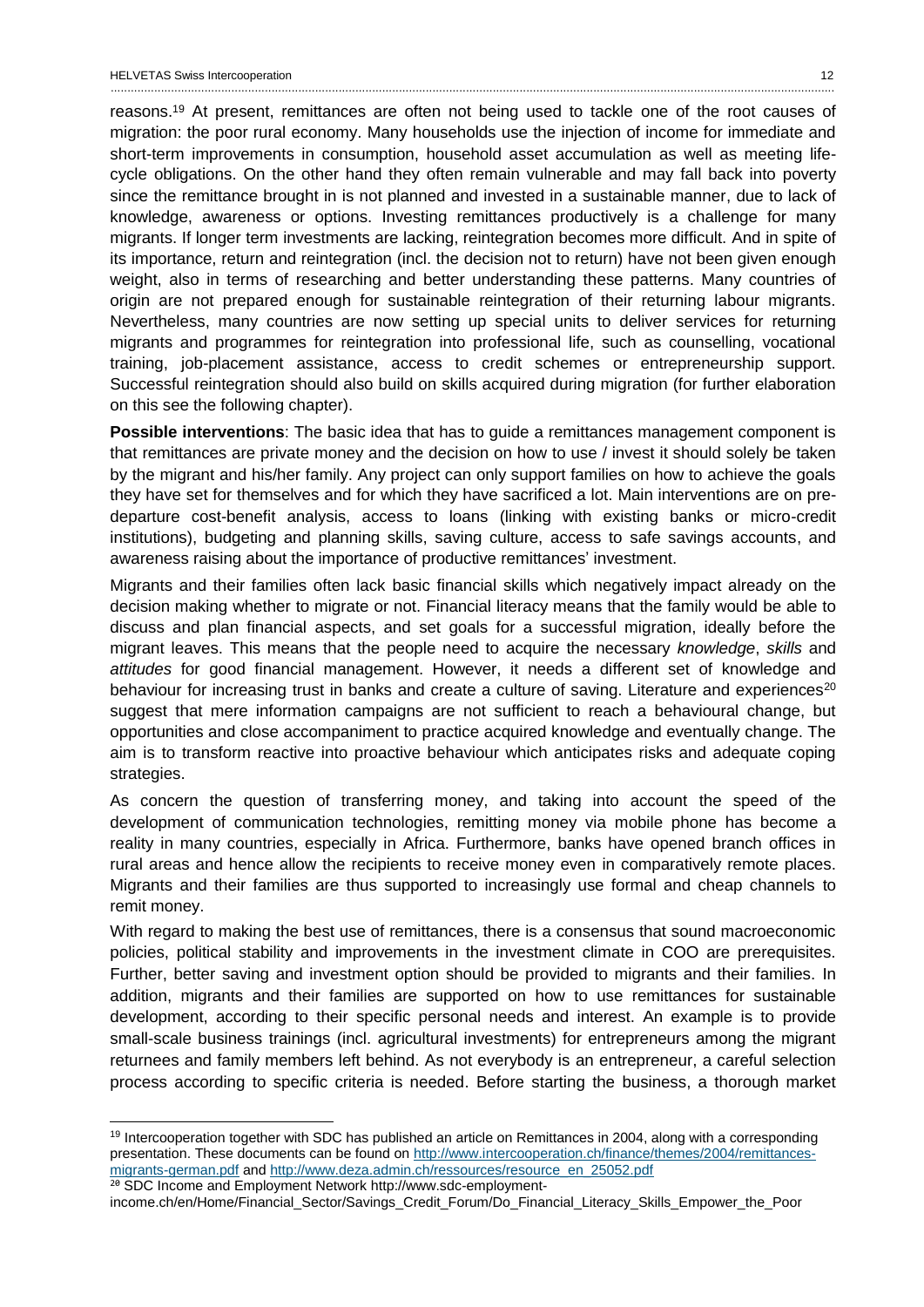$\overline{a}$ 

reasons.<sup>19</sup> At present, remittances are often not being used to tackle one of the root causes of migration: the poor rural economy. Many households use the injection of income for immediate and short-term improvements in consumption, household asset accumulation as well as meeting lifecycle obligations. On the other hand they often remain vulnerable and may fall back into poverty since the remittance brought in is not planned and invested in a sustainable manner, due to lack of knowledge, awareness or options. Investing remittances productively is a challenge for many migrants. If longer term investments are lacking, reintegration becomes more difficult. And in spite of its importance, return and reintegration (incl. the decision not to return) have not been given enough weight, also in terms of researching and better understanding these patterns. Many countries of origin are not prepared enough for sustainable reintegration of their returning labour migrants. Nevertheless, many countries are now setting up special units to deliver services for returning migrants and programmes for reintegration into professional life, such as counselling, vocational training, job-placement assistance, access to credit schemes or entrepreneurship support. Successful reintegration should also build on skills acquired during migration (for further elaboration on this see the following chapter).

**Possible interventions**: The basic idea that has to guide a remittances management component is that remittances are private money and the decision on how to use / invest it should solely be taken by the migrant and his/her family. Any project can only support families on how to achieve the goals they have set for themselves and for which they have sacrificed a lot. Main interventions are on predeparture cost-benefit analysis, access to loans (linking with existing banks or micro-credit institutions), budgeting and planning skills, saving culture, access to safe savings accounts, and awareness raising about the importance of productive remittances' investment.

Migrants and their families often lack basic financial skills which negatively impact already on the decision making whether to migrate or not. Financial literacy means that the family would be able to discuss and plan financial aspects, and set goals for a successful migration, ideally before the migrant leaves. This means that the people need to acquire the necessary *knowledge*, *skills* and *attitudes* for good financial management. However, it needs a different set of knowledge and behaviour for increasing trust in banks and create a culture of saving. Literature and experiences<sup>20</sup> suggest that mere information campaigns are not sufficient to reach a behavioural change, but opportunities and close accompaniment to practice acquired knowledge and eventually change. The aim is to transform reactive into proactive behaviour which anticipates risks and adequate coping strategies.

As concern the question of transferring money, and taking into account the speed of the development of communication technologies, remitting money via mobile phone has become a reality in many countries, especially in Africa. Furthermore, banks have opened branch offices in rural areas and hence allow the recipients to receive money even in comparatively remote places. Migrants and their families are thus supported to increasingly use formal and cheap channels to remit money.

With regard to making the best use of remittances, there is a consensus that sound macroeconomic policies, political stability and improvements in the investment climate in COO are prerequisites. Further, better saving and investment option should be provided to migrants and their families. In addition, migrants and their families are supported on how to use remittances for sustainable development, according to their specific personal needs and interest. An example is to provide small-scale business trainings (incl. agricultural investments) for entrepreneurs among the migrant returnees and family members left behind. As not everybody is an entrepreneur, a careful selection process according to specific criteria is needed. Before starting the business, a thorough market

<sup>&</sup>lt;sup>19</sup> Intercooperation together with SDC has published an article on Remittances in 2004, along with a corresponding presentation. These documents can be found on [http://www.intercooperation.ch/finance/themes/2004/remittances](http://www.intercooperation.ch/finance/themes/2004/remittances-migrants-german.pdf)[migrants-german.pdf](http://www.intercooperation.ch/finance/themes/2004/remittances-migrants-german.pdf) and [http://www.deza.admin.ch/ressources/resource\\_en\\_25052.pdf](http://www.deza.admin.ch/ressources/resource_en_25052.pdf) <sup>20</sup> SDC Income and Employment Network http://www.sdc-employment-

income.ch/en/Home/Financial\_Sector/Savings\_Credit\_Forum/Do\_Financial\_Literacy\_Skills\_Empower\_the\_Poor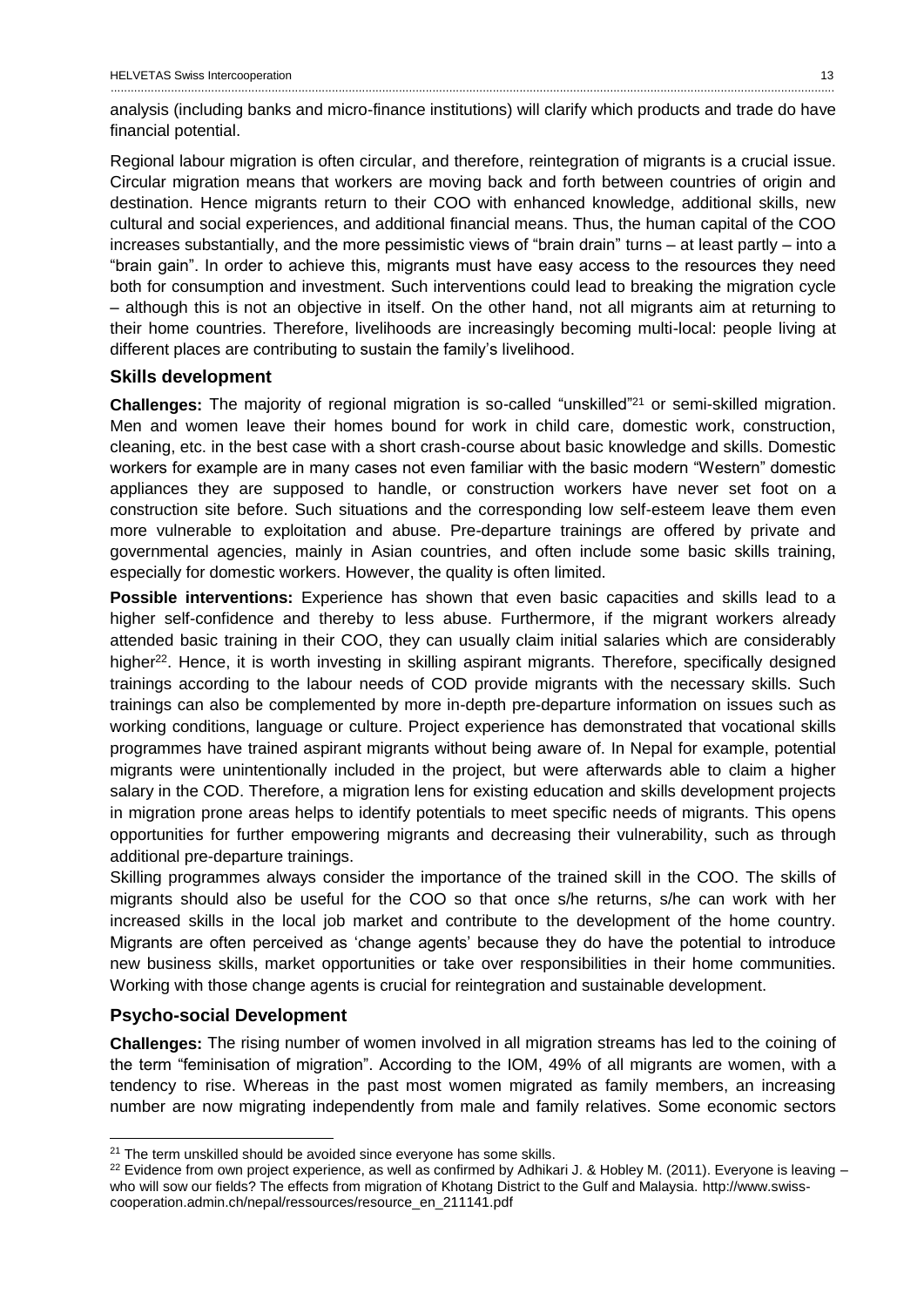analysis (including banks and micro-finance institutions) will clarify which products and trade do have financial potential.

Regional labour migration is often circular, and therefore, reintegration of migrants is a crucial issue. Circular migration means that workers are moving back and forth between countries of origin and destination. Hence migrants return to their COO with enhanced knowledge, additional skills, new cultural and social experiences, and additional financial means. Thus, the human capital of the COO increases substantially, and the more pessimistic views of "brain drain" turns – at least partly – into a "brain gain". In order to achieve this, migrants must have easy access to the resources they need both for consumption and investment. Such interventions could lead to breaking the migration cycle – although this is not an objective in itself. On the other hand, not all migrants aim at returning to their home countries. Therefore, livelihoods are increasingly becoming multi-local: people living at different places are contributing to sustain the family's livelihood.

#### <span id="page-13-0"></span>**Skills development**

**Challenges:** The majority of regional migration is so-called "unskilled"<sup>21</sup> or semi-skilled migration. Men and women leave their homes bound for work in child care, domestic work, construction, cleaning, etc. in the best case with a short crash-course about basic knowledge and skills. Domestic workers for example are in many cases not even familiar with the basic modern "Western" domestic appliances they are supposed to handle, or construction workers have never set foot on a construction site before. Such situations and the corresponding low self-esteem leave them even more vulnerable to exploitation and abuse. Pre-departure trainings are offered by private and governmental agencies, mainly in Asian countries, and often include some basic skills training, especially for domestic workers. However, the quality is often limited.

**Possible interventions:** Experience has shown that even basic capacities and skills lead to a higher self-confidence and thereby to less abuse. Furthermore, if the migrant workers already attended basic training in their COO, they can usually claim initial salaries which are considerably higher<sup>22</sup>. Hence, it is worth investing in skilling aspirant migrants. Therefore, specifically designed trainings according to the labour needs of COD provide migrants with the necessary skills. Such trainings can also be complemented by more in-depth pre-departure information on issues such as working conditions, language or culture. Project experience has demonstrated that vocational skills programmes have trained aspirant migrants without being aware of. In Nepal for example, potential migrants were unintentionally included in the project, but were afterwards able to claim a higher salary in the COD. Therefore, a migration lens for existing education and skills development projects in migration prone areas helps to identify potentials to meet specific needs of migrants. This opens opportunities for further empowering migrants and decreasing their vulnerability, such as through additional pre-departure trainings.

Skilling programmes always consider the importance of the trained skill in the COO. The skills of migrants should also be useful for the COO so that once s/he returns, s/he can work with her increased skills in the local job market and contribute to the development of the home country. Migrants are often perceived as 'change agents' because they do have the potential to introduce new business skills, market opportunities or take over responsibilities in their home communities. Working with those change agents is crucial for reintegration and sustainable development.

### <span id="page-13-1"></span>**Psycho-social Development**

 $\overline{a}$ 

**Challenges:** The rising number of women involved in all migration streams has led to the coining of the term "feminisation of migration". According to the IOM, 49% of all migrants are women, with a tendency to rise. Whereas in the past most women migrated as family members, an increasing number are now migrating independently from male and family relatives. Some economic sectors

<sup>&</sup>lt;sup>21</sup> The term unskilled should be avoided since everyone has some skills.

<sup>&</sup>lt;sup>22</sup> Evidence from own project experience, as well as confirmed by Adhikari J. & Hobley M. (2011). Everyone is leaving  $$ who will sow our fields? The effects from migration of Khotang District to the Gulf and Malaysia. http://www.swisscooperation.admin.ch/nepal/ressources/resource\_en\_211141.pdf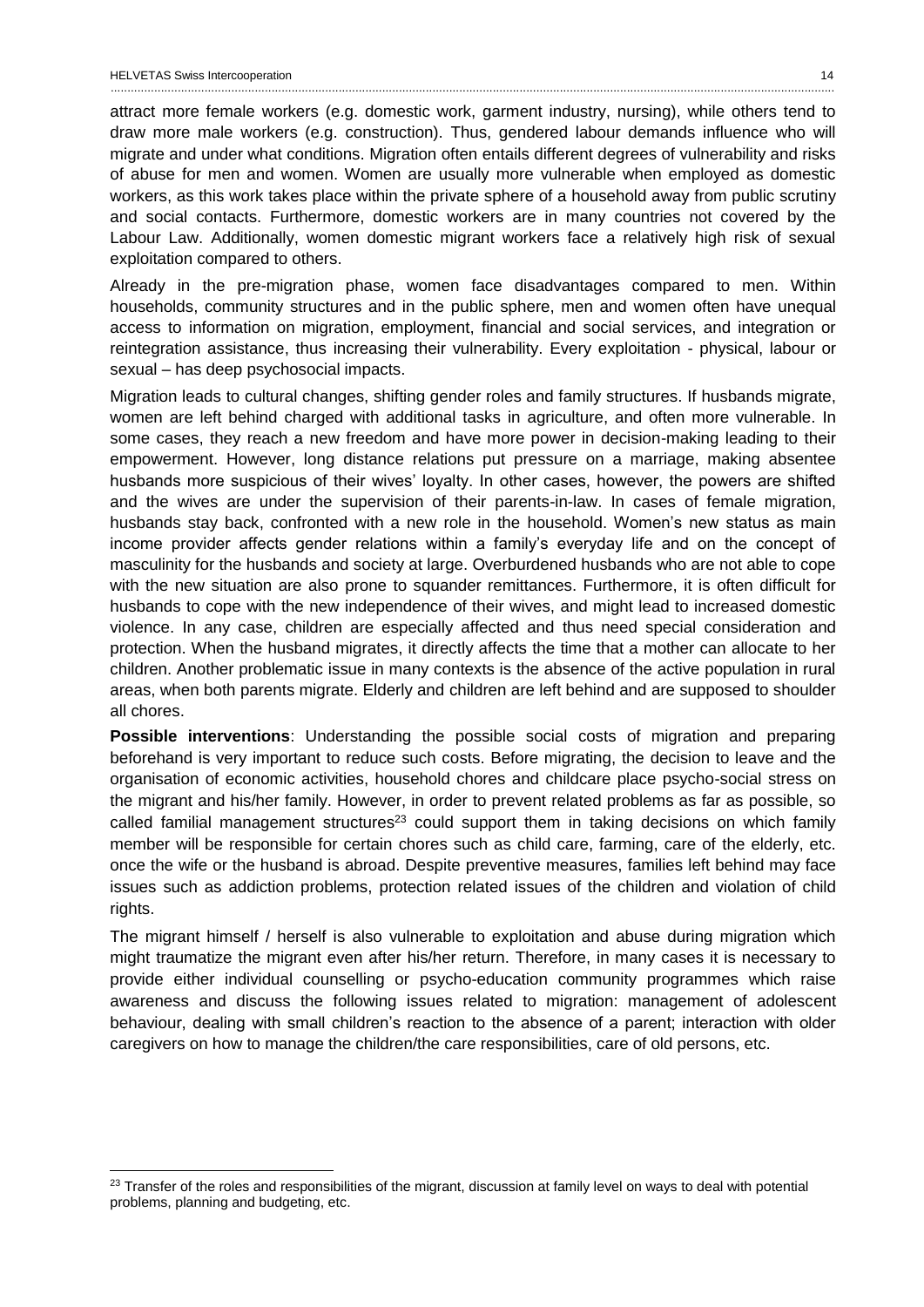$\overline{a}$ 

attract more female workers (e.g. domestic work, garment industry, nursing), while others tend to draw more male workers (e.g. construction). Thus, gendered labour demands influence who will migrate and under what conditions. Migration often entails different degrees of vulnerability and risks of abuse for men and women. Women are usually more vulnerable when employed as domestic workers, as this work takes place within the private sphere of a household away from public scrutiny and social contacts. Furthermore, domestic workers are in many countries not covered by the Labour Law. Additionally, women domestic migrant workers face a relatively high risk of sexual exploitation compared to others.

Already in the pre-migration phase, women face disadvantages compared to men. Within households, community structures and in the public sphere, men and women often have unequal access to information on migration, employment, financial and social services, and integration or reintegration assistance, thus increasing their vulnerability. Every exploitation - physical, labour or sexual – has deep psychosocial impacts.

Migration leads to cultural changes, shifting gender roles and family structures. If husbands migrate, women are left behind charged with additional tasks in agriculture, and often more vulnerable. In some cases, they reach a new freedom and have more power in decision-making leading to their empowerment. However, long distance relations put pressure on a marriage, making absentee husbands more suspicious of their wives' loyalty. In other cases, however, the powers are shifted and the wives are under the supervision of their parents-in-law. In cases of female migration, husbands stay back, confronted with a new role in the household. Women's new status as main income provider affects gender relations within a family's everyday life and on the concept of masculinity for the husbands and society at large. Overburdened husbands who are not able to cope with the new situation are also prone to squander remittances. Furthermore, it is often difficult for husbands to cope with the new independence of their wives, and might lead to increased domestic violence. In any case, children are especially affected and thus need special consideration and protection. When the husband migrates, it directly affects the time that a mother can allocate to her children. Another problematic issue in many contexts is the absence of the active population in rural areas, when both parents migrate. Elderly and children are left behind and are supposed to shoulder all chores.

**Possible interventions**: Understanding the possible social costs of migration and preparing beforehand is very important to reduce such costs. Before migrating, the decision to leave and the organisation of economic activities, household chores and childcare place psycho-social stress on the migrant and his/her family. However, in order to prevent related problems as far as possible, so called familial management structures<sup>23</sup> could support them in taking decisions on which family member will be responsible for certain chores such as child care, farming, care of the elderly, etc. once the wife or the husband is abroad. Despite preventive measures, families left behind may face issues such as addiction problems, protection related issues of the children and violation of child rights.

The migrant himself / herself is also vulnerable to exploitation and abuse during migration which might traumatize the migrant even after his/her return. Therefore, in many cases it is necessary to provide either individual counselling or psycho-education community programmes which raise awareness and discuss the following issues related to migration: management of adolescent behaviour, dealing with small children's reaction to the absence of a parent; interaction with older caregivers on how to manage the children/the care responsibilities, care of old persons, etc.

<sup>&</sup>lt;sup>23</sup> Transfer of the roles and responsibilities of the migrant, discussion at family level on ways to deal with potential problems, planning and budgeting, etc.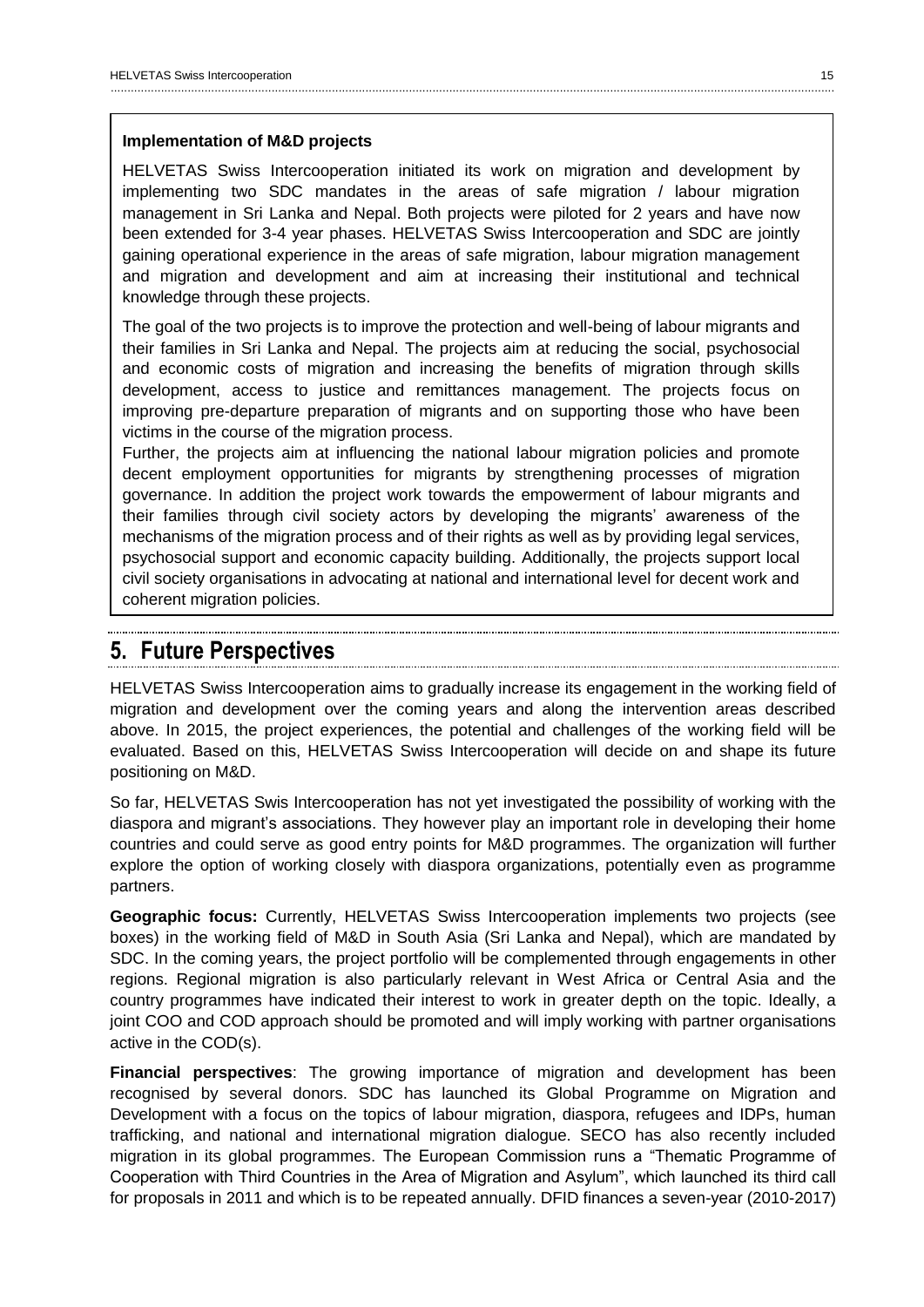#### **Implementation of M&D projects**

HELVETAS Swiss Intercooperation initiated its work on migration and development by implementing two SDC mandates in the areas of safe migration / labour migration management in Sri Lanka and Nepal. Both projects were piloted for 2 years and have now been extended for 3-4 year phases. HELVETAS Swiss Intercooperation and SDC are jointly gaining operational experience in the areas of safe migration, labour migration management and migration and development and aim at increasing their institutional and technical knowledge through these projects.

The goal of the two projects is to improve the protection and well-being of labour migrants and their families in Sri Lanka and Nepal. The projects aim at reducing the social, psychosocial and economic costs of migration and increasing the benefits of migration through skills development, access to justice and remittances management. The projects focus on improving pre-departure preparation of migrants and on supporting those who have been victims in the course of the migration process.

Further, the projects aim at influencing the national labour migration policies and promote decent employment opportunities for migrants by strengthening processes of migration governance. In addition the project work towards the empowerment of labour migrants and their families through civil society actors by developing the migrants' awareness of the mechanisms of the migration process and of their rights as well as by providing legal services, psychosocial support and economic capacity building. Additionally, the projects support local civil society organisations in advocating at national and international level for decent work and coherent migration policies.

### <span id="page-15-0"></span>**5. Future Perspectives**

HELVETAS Swiss Intercooperation aims to gradually increase its engagement in the working field of migration and development over the coming years and along the intervention areas described above. In 2015, the project experiences, the potential and challenges of the working field will be evaluated. Based on this, HELVETAS Swiss Intercooperation will decide on and shape its future positioning on M&D.

So far, HELVETAS Swis Intercooperation has not yet investigated the possibility of working with the diaspora and migrant's associations. They however play an important role in developing their home countries and could serve as good entry points for M&D programmes. The organization will further explore the option of working closely with diaspora organizations, potentially even as programme partners.

**Geographic focus:** Currently, HELVETAS Swiss Intercooperation implements two projects (see boxes) in the working field of M&D in South Asia (Sri Lanka and Nepal), which are mandated by SDC. In the coming years, the project portfolio will be complemented through engagements in other regions. Regional migration is also particularly relevant in West Africa or Central Asia and the country programmes have indicated their interest to work in greater depth on the topic. Ideally, a joint COO and COD approach should be promoted and will imply working with partner organisations active in the COD(s).

**Financial perspectives**: The growing importance of migration and development has been recognised by several donors. SDC has launched its Global Programme on Migration and Development with a focus on the topics of labour migration, diaspora, refugees and IDPs, human trafficking, and national and international migration dialogue. SECO has also recently included migration in its global programmes. The European Commission runs a "Thematic Programme of Cooperation with Third Countries in the Area of Migration and Asylum", which launched its third call for proposals in 2011 and which is to be repeated annually. DFID finances a seven-year (2010-2017)